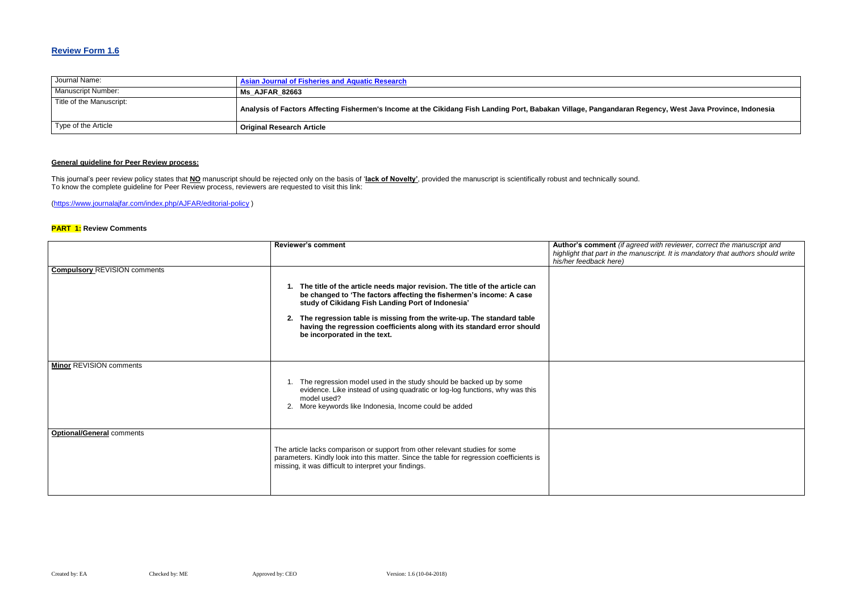## **Review Form 1.6**

| Journal Name:            | <b>Asian Journal of Fisheries and Aquatic Research</b>                                                              |
|--------------------------|---------------------------------------------------------------------------------------------------------------------|
| Manuscript Number:       | <b>Ms AJFAR 82663</b>                                                                                               |
| Title of the Manuscript: | Analysis of Factors Affecting Fishermen's Income at the Cikidang Fish Landing Port, Babakan Village, Pangandaran Re |
| Type of the Article      | <b>Original Research Article</b>                                                                                    |

## **Analysis of Factors Affecting Fishermen's Income at the Cikidang Fish Landing Port, Babakan Village, Pangandaran Regency, West Java Province, Indonesia**

## **General guideline for Peer Review process:**

#### **Red with reviewer, correct the manuscript and** *highlight that part in the manuscript. It is mandatory that authors should write*

This journal's peer review policy states that **NO** manuscript should be rejected only on the basis of '**lack of Novelty'**, provided the manuscript is scientifically robust and technically sound. To know the complete guideline for Peer Review process, reviewers are requested to visit this link:

[\(https://www.journalajfar.com/index.php/AJFAR/editorial-policy](https://www.journalajfar.com/index.php/AJFAR/editorial-policy) )

### **PART 1: Review Comments**

|                                     | <b>Reviewer's comment</b>                                                                                                                                                                                                                                                                                                                                                                         | Author's comment (if agree<br>highlight that part in the mar<br>his/her feedback here) |
|-------------------------------------|---------------------------------------------------------------------------------------------------------------------------------------------------------------------------------------------------------------------------------------------------------------------------------------------------------------------------------------------------------------------------------------------------|----------------------------------------------------------------------------------------|
| <b>Compulsory REVISION comments</b> | 1. The title of the article needs major revision. The title of the article can<br>be changed to 'The factors affecting the fishermen's income: A case<br>study of Cikidang Fish Landing Port of Indonesia'<br>2. The regression table is missing from the write-up. The standard table<br>having the regression coefficients along with its standard error should<br>be incorporated in the text. |                                                                                        |
| Minor REVISION comments             | 1. The regression model used in the study should be backed up by some<br>evidence. Like instead of using quadratic or log-log functions, why was this<br>model used?<br>More keywords like Indonesia, Income could be added<br>2.                                                                                                                                                                 |                                                                                        |
| <b>Optional/General comments</b>    | The article lacks comparison or support from other relevant studies for some<br>parameters. Kindly look into this matter. Since the table for regression coefficients is<br>missing, it was difficult to interpret your findings.                                                                                                                                                                 |                                                                                        |